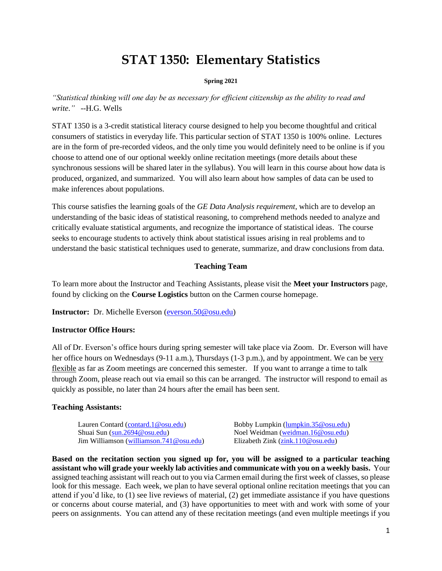# **STAT 1350: Elementary Statistics**

#### **Spring 2021**

*"Statistical thinking will one day be as necessary for efficient citizenship as the ability to read and write*.*"* --H.G. Wells

STAT 1350 is a 3-credit statistical literacy course designed to help you become thoughtful and critical consumers of statistics in everyday life. This particular section of STAT 1350 is 100% online. Lectures are in the form of pre-recorded videos, and the only time you would definitely need to be online is if you choose to attend one of our optional weekly online recitation meetings (more details about these synchronous sessions will be shared later in the syllabus). You will learn in this course about how data is produced, organized, and summarized. You will also learn about how samples of data can be used to make inferences about populations.

This course satisfies the learning goals of the *GE Data Analysis requirement*, which are to develop an understanding of the basic ideas of statistical reasoning, to comprehend methods needed to analyze and critically evaluate statistical arguments, and recognize the importance of statistical ideas. The course seeks to encourage students to actively think about statistical issues arising in real problems and to understand the basic statistical techniques used to generate, summarize, and draw conclusions from data.

#### **Teaching Team**

To learn more about the Instructor and Teaching Assistants, please visit the **Meet your Instructors** page, found by clicking on the **Course Logistics** button on the Carmen course homepage.

**Instructor:** Dr. Michelle Everson [\(everson.50@osu.edu\)](mailto:everson.50@osu.edu)

#### **Instructor Office Hours:**

All of Dr. Everson's office hours during spring semester will take place via Zoom. Dr. Everson will have her office hours on Wednesdays (9-11 a.m.), Thursdays (1-3 p.m.), and by appointment. We can be very flexible as far as Zoom meetings are concerned this semester. If you want to arrange a time to talk through Zoom, please reach out via email so this can be arranged. The instructor will respond to email as quickly as possible, no later than 24 hours after the email has been sent.

#### **Teaching Assistants:**

Lauren Contard [\(contard.1@osu.edu\)](mailto:contard.1@osu.edu) Bobby Lumpkin [\(lumpkin.35@osu.edu\)](mailto:lumpkin.35@osu.edu) Shuai Sun [\(sun.2694@osu.edu\)](mailto:sun.2694@osu.edu)<br>
Jim Williamson (williamson.741@osu.edu)<br>
Elizabeth Zink (zink.110@osu.edu) Jim Williamson [\(williamson.741@osu.edu\)](mailto:williamson.741@osu.edu)

**Based on the recitation section you signed up for, you will be assigned to a particular teaching assistant who will grade your weekly lab activities and communicate with you on a weekly basis.** Your assigned teaching assistant will reach out to you via Carmen email during the first week of classes, so please look for this message. Each week, we plan to have several optional online recitation meetings that you can attend if you'd like, to (1) see live reviews of material, (2) get immediate assistance if you have questions or concerns about course material, and (3) have opportunities to meet with and work with some of your peers on assignments. You can attend any of these recitation meetings (and even multiple meetings if you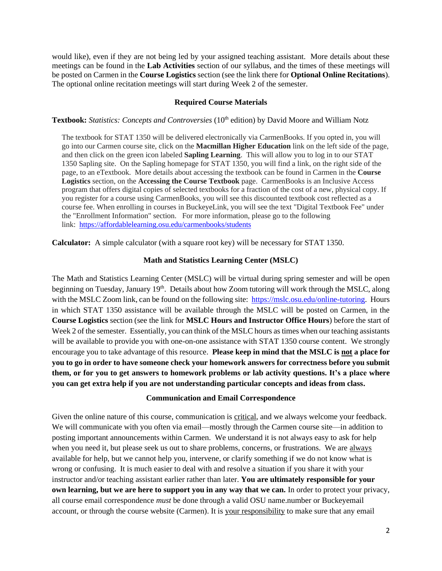would like), even if they are not being led by your assigned teaching assistant. More details about these meetings can be found in the **Lab Activities** section of our syllabus, and the times of these meetings will be posted on Carmen in the **Course Logistics** section (see the link there for **Optional Online Recitations**). The optional online recitation meetings will start during Week 2 of the semester.

#### **Required Course Materials**

**Textbook:** *Statistics: Concepts and Controversies* (10<sup>th</sup> edition) by David Moore and William Notz

The textbook for STAT 1350 will be delivered electronically via CarmenBooks. If you opted in, you will go into our Carmen course site, click on the **Macmillan Higher Education** link on the left side of the page, and then click on the green icon labeled **Sapling Learning**. This will allow you to log in to our STAT 1350 Sapling site. On the Sapling homepage for STAT 1350, you will find a link, on the right side of the page, to an eTextbook. More details about accessing the textbook can be found in Carmen in the **Course Logistics** section, on the **Accessing the Course Textbook** page. CarmenBooks is an Inclusive Access program that offers digital copies of selected textbooks for a fraction of the cost of a new, physical copy. If you register for a course using CarmenBooks, you will see this discounted textbook cost reflected as a course fee. When enrolling in courses in BuckeyeLink, you will see the text "Digital Textbook Fee" under the "Enrollment Information" section. For more information, please go to the following link: <https://affordablelearning.osu.edu/carmenbooks/students>

**Calculator:** A simple calculator (with a square root key) will be necessary for STAT 1350.

#### **Math and Statistics Learning Center (MSLC)**

The Math and Statistics Learning Center (MSLC) will be virtual during spring semester and will be open beginning on Tuesday, January 19<sup>th</sup>. Details about how Zoom tutoring will work through the MSLC, along with the MSLC Zoom link, can be found on the following site: [https://mslc.osu.edu/online-tutoring.](https://mslc.osu.edu/online-tutoring) Hours in which STAT 1350 assistance will be available through the MSLC will be posted on Carmen, in the **Course Logistics** section (see the link for **MSLC Hours and Instructor Office Hours**) before the start of Week 2 of the semester. Essentially, you can think of the MSLC hours as times when our teaching assistants will be available to provide you with one-on-one assistance with STAT 1350 course content. We strongly encourage you to take advantage of this resource. **Please keep in mind that the MSLC is not a place for you to go in order to have someone check your homework answers for correctness before you submit them, or for you to get answers to homework problems or lab activity questions. It's a place where you can get extra help if you are not understanding particular concepts and ideas from class.** 

#### **Communication and Email Correspondence**

Given the online nature of this course, communication is critical, and we always welcome your feedback. We will communicate with you often via email—mostly through the Carmen course site—in addition to posting important announcements within Carmen. We understand it is not always easy to ask for help when you need it, but please seek us out to share problems, concerns, or frustrations. We are always available for help, but we cannot help you, intervene, or clarify something if we do not know what is wrong or confusing. It is much easier to deal with and resolve a situation if you share it with your instructor and/or teaching assistant earlier rather than later. **You are ultimately responsible for your own learning, but we are here to support you in any way that we can.** In order to protect your privacy, all course email correspondence *must* be done through a valid OSU name.number or Buckeyemail account, or through the course website (Carmen). It is your responsibility to make sure that any email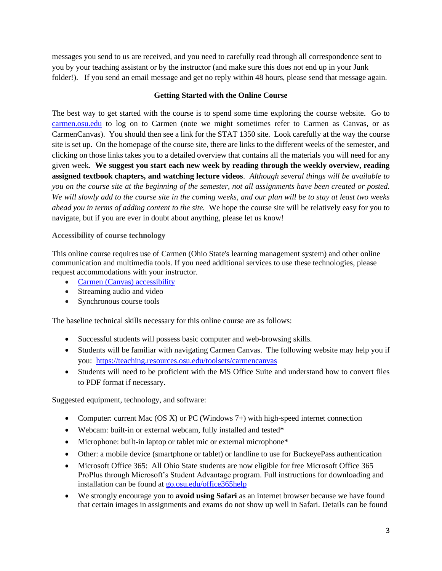messages you send to us are received, and you need to carefully read through all correspondence sent to you by your teaching assistant or by the instructor (and make sure this does not end up in your Junk folder!). If you send an email message and get no reply within 48 hours, please send that message again.

# **Getting Started with the Online Course**

The best way to get started with the course is to spend some time exploring the course website. Go to [carmen.osu.edu](http://www.carmen.osu.edu/) to log on to Carmen (note we might sometimes refer to Carmen as Canvas, or as CarmenCanvas). You should then see a link for the STAT 1350 site. Look carefully at the way the course site is set up. On the homepage of the course site, there are links to the different weeks of the semester, and clicking on those links takes you to a detailed overview that contains all the materials you will need for any given week. **We suggest you start each new week by reading through the weekly overview, reading assigned textbook chapters, and watching lecture videos**. *Although several things will be available to you on the course site at the beginning of the semester, not all assignments have been created or posted. We will slowly add to the course site in the coming weeks, and our plan will be to stay at least two weeks ahead you in terms of adding content to the site.* We hope the course site will be relatively easy for you to navigate, but if you are ever in doubt about anything, please let us know!

# **Accessibility of course technology**

This online course requires use of Carmen (Ohio State's learning management system) and other online communication and multimedia tools. If you need additional services to use these technologies, please request accommodations with your instructor.

- Carmen (Canvas) [accessibility](https://community.canvaslms.com/docs/DOC-2061)
- Streaming audio and video
- Synchronous course tools

The baseline technical skills necessary for this online course are as follows:

- Successful students will possess basic computer and web-browsing skills.
- Students will be familiar with navigating Carmen Canvas. The following website may help you if you: <https://teaching.resources.osu.edu/toolsets/carmencanvas>
- Students will need to be proficient with the MS Office Suite and understand how to convert files to PDF format if necessary.

Suggested equipment, technology, and software:

- Computer: current Mac (OS X) or PC (Windows  $7+$ ) with high-speed internet connection
- Webcam: built-in or external webcam, fully installed and tested\*
- Microphone: built-in laptop or tablet mic or external microphone\*
- Other: a mobile device (smartphone or tablet) or landline to use for BuckeyePass authentication
- Microsoft Office 365: All Ohio State students are now eligible for free Microsoft Office 365 ProPlus through Microsoft's Student Advantage program. Full instructions for downloading and installation can be found at [go.osu.edu/office365help](about:blank)
- We strongly encourage you to **avoid using Safari** as an internet browser because we have found that certain images in assignments and exams do not show up well in Safari. Details can be found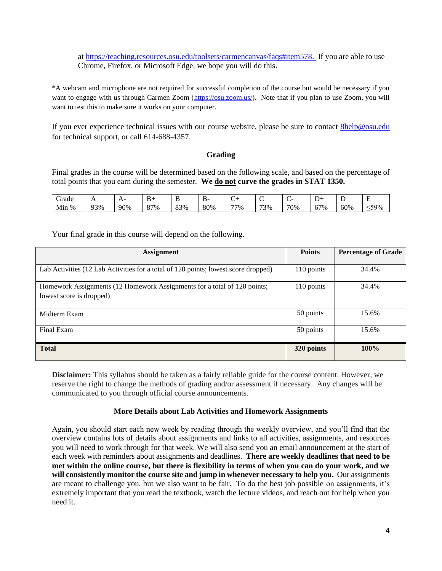at [https://teaching.resources.osu.edu/toolsets/carmencanvas/faqs#item578.](https://teaching.resources.osu.edu/toolsets/carmencanvas/faqs#item578) If you are able to use Chrome, Firefox, or Microsoft Edge, we hope you will do this.

\*A webcam and microphone are not required for successful completion of the course but would be necessary if you want to engage with us through Carmen Zoom [\(https://osu.zoom.us/\)](https://osu.zoom.us/). Note that if you plan to use Zoom, you will want to test this to make sure it works on your computer.

If you ever experience technical issues with our course website, please be sure to contact **8help@osu.edu** for technical support, or call 614-688-4357.

# **Grading**

Final grades in the course will be determined based on the following scale, and based on the percentage of total points that you earn during the semester. **We do not curve the grades in STAT 1350.**

| orade                       | . . | . . |        |     | $\ddot{\phantom{0}}$<br>- | ◡   | $\sim$<br>∼ | $\sim$<br>∼ |                            | ∸   | -   |
|-----------------------------|-----|-----|--------|-----|---------------------------|-----|-------------|-------------|----------------------------|-----|-----|
| $\mathbf{r}$<br>$\%$<br>Min | 93% | 90% | $27\%$ | 83% | 80%                       | 77% | 73%         | 70%         | $\sim$<br>$\sigma$<br>$\%$ | 60% | 59% |

Your final grade in this course will depend on the following.

| <b>Assignment</b>                                                                  | <b>Points</b> | <b>Percentage of Grade</b> |
|------------------------------------------------------------------------------------|---------------|----------------------------|
|                                                                                    |               |                            |
| Lab Activities (12 Lab Activities for a total of 120 points; lowest score dropped) | 110 points    | 34.4%                      |
| Homework Assignments (12 Homework Assignments for a total of 120 points;           | 110 points    | 34.4%                      |
| lowest score is dropped)                                                           |               |                            |
| Midterm Exam                                                                       | 50 points     | 15.6%                      |
| Final Exam                                                                         | 50 points     | 15.6%                      |
| <b>Total</b>                                                                       | 320 points    | 100%                       |

**Disclaimer:** This syllabus should be taken as a fairly reliable guide for the course content. However, we reserve the right to change the methods of grading and/or assessment if necessary. Any changes will be communicated to you through official course announcements.

#### **More Details about Lab Activities and Homework Assignments**

Again, you should start each new week by reading through the weekly overview, and you'll find that the overview contains lots of details about assignments and links to all activities, assignments, and resources you will need to work through for that week. We will also send you an email announcement at the start of each week with reminders about assignments and deadlines. **There are weekly deadlines that need to be met within the online course, but there is flexibility in terms of when you can do your work, and we will consistently monitor the course site and jump in whenever necessary to help you.** Our assignments are meant to challenge you, but we also want to be fair. To do the best job possible on assignments, it's extremely important that you read the textbook, watch the lecture videos, and reach out for help when you need it.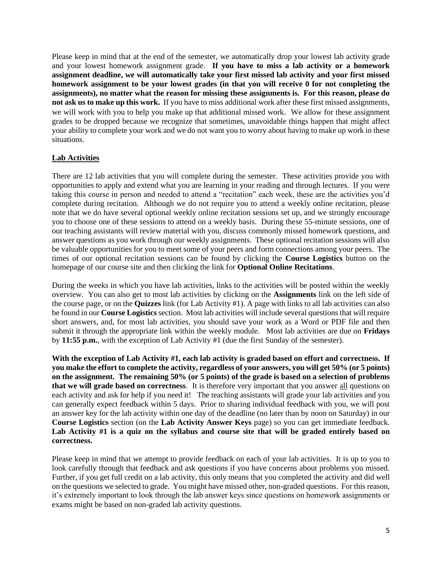Please keep in mind that at the end of the semester, we automatically drop your lowest lab activity grade and your lowest homework assignment grade. **If you have to miss a lab activity or a homework assignment deadline, we will automatically take your first missed lab activity and your first missed homework assignment to be your lowest grades (in that you will receive 0 for not completing the assignments), no matter what the reason for missing these assignments is. For this reason, please do not ask us to make up this work.** If you have to miss additional work after these first missed assignments, we will work with you to help you make up that additional missed work. We allow for these assignment grades to be dropped because we recognize that sometimes, unavoidable things happen that might affect your ability to complete your work and we do not want you to worry about having to make up work in these situations.

# **Lab Activities**

There are 12 lab activities that you will complete during the semester. These activities provide you with opportunities to apply and extend what you are learning in your reading and through lectures. If you were taking this course in person and needed to attend a "recitation" each week, these are the activities you'd complete during recitation. Although we do not require you to attend a weekly online recitation, please note that we do have several optional weekly online recitation sessions set up, and we strongly encourage you to choose one of these sessions to attend on a weekly basis. During these 55-minute sessions, one of our teaching assistants will review material with you, discuss commonly missed homework questions, and answer questions as you work through our weekly assignments. These optional recitation sessions will also be valuable opportunities for you to meet some of your peers and form connections among your peers. The times of our optional recitation sessions can be found by clicking the **Course Logistics** button on the homepage of our course site and then clicking the link for **Optional Online Recitations**.

During the weeks in which you have lab activities, links to the activities will be posted within the weekly overview. You can also get to most lab activities by clicking on the **Assignments** link on the left side of the course page, or on the **Quizzes** link (for Lab Activity #1). A page with links to all lab activities can also be found in our **Course Logistics**section. Most lab activities will include several questions that will require short answers, and, for most lab activities, you should save your work as a Word or PDF file and then submit it through the appropriate link within the weekly module. Most lab activities are due on **Fridays** by **11:55 p.m.**, with the exception of Lab Activity #1 (due the first Sunday of the semester).

**With the exception of Lab Activity #1, each lab activity is graded based on effort and correctness. If you make the effort to complete the activity, regardless of your answers, you will get 50% (or 5 points) on the assignment. The remaining 50% (or 5 points) of the grade is based on a selection of problems that we will grade based on correctness***.* It is therefore very important that you answer all questions on each activity and ask for help if you need it! The teaching assistants will grade your lab activities and you can generally expect feedback within 5 days. Prior to sharing individual feedback with you, we will post an answer key for the lab activity within one day of the deadline (no later than by noon on Saturday) in our **Course Logistics** section (on the **Lab Activity Answer Keys** page) so you can get immediate feedback. **Lab Activity #1 is a quiz on the syllabus and course site that will be graded entirely based on correctness.**

Please keep in mind that we attempt to provide feedback on each of your lab activities. It is up to you to look carefully through that feedback and ask questions if you have concerns about problems you missed. Further, if you get full credit on a lab activity, this only means that you completed the activity and did well on the questions we selected to grade. You might have missed other, non-graded questions. For this reason, it's extremely important to look through the lab answer keys since questions on homework assignments or exams might be based on non-graded lab activity questions.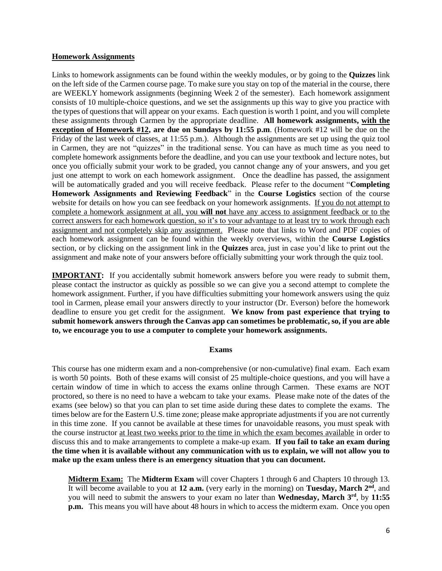#### **Homework Assignments**

Links to homework assignments can be found within the weekly modules, or by going to the **Quizzes** link on the left side of the Carmen course page. To make sure you stay on top of the material in the course, there are WEEKLY homework assignments (beginning Week 2 of the semester). Each homework assignment consists of 10 multiple-choice questions, and we set the assignments up this way to give you practice with the types of questions that will appear on your exams. Each question is worth 1 point, and you will complete these assignments through Carmen by the appropriate deadline. **All homework assignments, with the exception of Homework #12, are due on Sundays by 11:55 p.m**. (Homework #12 will be due on the Friday of the last week of classes, at 11:55 p.m.). Although the assignments are set up using the quiz tool in Carmen, they are not "quizzes" in the traditional sense. You can have as much time as you need to complete homework assignments before the deadline, and you can use your textbook and lecture notes, but once you officially submit your work to be graded, you cannot change any of your answers, and you get just one attempt to work on each homework assignment. Once the deadline has passed, the assignment will be automatically graded and you will receive feedback. Please refer to the document "**Completing Homework Assignments and Reviewing Feedback**" in the **Course Logistics** section of the course website for details on how you can see feedback on your homework assignments. If you do not attempt to complete a homework assignment at all, you **will not** have any access to assignment feedback or to the correct answers for each homework question, so it's to your advantage to at least try to work through each assignment and not completely skip any assignment. Please note that links to Word and PDF copies of each homework assignment can be found within the weekly overviews, within the **Course Logistics** section, or by clicking on the assignment link in the **Quizzes** area, just in case you'd like to print out the assignment and make note of your answers before officially submitting your work through the quiz tool.

**IMPORTANT:** If you accidentally submit homework answers before you were ready to submit them, please contact the instructor as quickly as possible so we can give you a second attempt to complete the homework assignment. Further, if you have difficulties submitting your homework answers using the quiz tool in Carmen, please email your answers directly to your instructor (Dr. Everson) before the homework deadline to ensure you get credit for the assignment. **We know from past experience that trying to submit homework answers through the Canvas app can sometimes be problematic, so, if you are able to, we encourage you to use a computer to complete your homework assignments.**

#### **Exams**

This course has one midterm exam and a non-comprehensive (or non-cumulative) final exam. Each exam is worth 50 points. Both of these exams will consist of 25 multiple-choice questions, and you will have a certain window of time in which to access the exams online through Carmen. These exams are NOT proctored, so there is no need to have a webcam to take your exams. Please make note of the dates of the exams (see below) so that you can plan to set time aside during these dates to complete the exams. The times below are for the Eastern U.S. time zone; please make appropriate adjustments if you are not currently in this time zone. If you cannot be available at these times for unavoidable reasons, you must speak with the course instructor at least two weeks prior to the time in which the exam becomes available in order to discuss this and to make arrangements to complete a make-up exam. **If you fail to take an exam during the time when it is available without any communication with us to explain, we will not allow you to make up the exam unless there is an emergency situation that you can document.** 

**Midterm Exam:** The **Midterm Exam** will cover Chapters 1 through 6 and Chapters 10 through 13. It will become available to you at **12 a.m.** (very early in the morning) on **Tuesday, March 2nd**, and you will need to submit the answers to your exam no later than **Wednesday, March 3rd**, by **11:55 p.m.** This means you will have about 48 hours in which to access the midterm exam. Once you open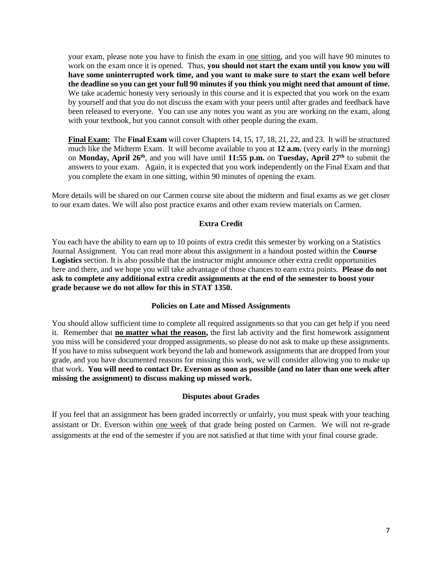your exam, please note you have to finish the exam in one sitting, and you will have 90 minutes to work on the exam once it is opened. Thus, **you should not start the exam until you know you will have some uninterrupted work time, and you want to make sure to start the exam well before the deadline so you can get your full 90 minutes if you think you might need that amount of time.**  We take academic honesty very seriously in this course and it is expected that you work on the exam by yourself and that you do not discuss the exam with your peers until after grades and feedback have been released to everyone. You can use any notes you want as you are working on the exam, along with your textbook, but you cannot consult with other people during the exam.

**Final Exam:** The **Final Exam** will cover Chapters 14, 15, 17, 18, 21, 22, and 23. It will be structured much like the Midterm Exam. It will become available to you at **12 a.m.** (very early in the morning) on **Monday, April 26th**, and you will have until **11:55 p.m.** on **Tuesday, April 27th** to submit the answers to your exam. Again, it is expected that you work independently on the Final Exam and that you complete the exam in one sitting, within 90 minutes of opening the exam.

More details will be shared on our Carmen course site about the midterm and final exams as we get closer to our exam dates. We will also post practice exams and other exam review materials on Carmen.

# **Extra Credit**

You each have the ability to earn up to 10 points of extra credit this semester by working on a Statistics Journal Assignment. You can read more about this assignment in a handout posted within the **Course Logistics** section. It is also possible that the instructor might announce other extra credit opportunities here and there, and we hope you will take advantage of those chances to earn extra points. **Please do not ask to complete any additional extra credit assignments at the end of the semester to boost your grade because we do not allow for this in STAT 1350.**

# **Policies on Late and Missed Assignments**

You should allow sufficient time to complete all required assignments so that you can get help if you need it. Remember that **no matter what the reason,** the first lab activity and the first homework assignment you miss will be considered your dropped assignments, so please do not ask to make up these assignments. If you have to miss subsequent work beyond the lab and homework assignments that are dropped from your grade, and you have documented reasons for missing this work, we will consider allowing you to make up that work. **You will need to contact Dr. Everson as soon as possible (and no later than one week after missing the assignment) to discuss making up missed work.** 

# **Disputes about Grades**

If you feel that an assignment has been graded incorrectly or unfairly, you must speak with your teaching assistant or Dr. Everson within one week of that grade being posted on Carmen. We will not re-grade assignments at the end of the semester if you are not satisfied at that time with your final course grade.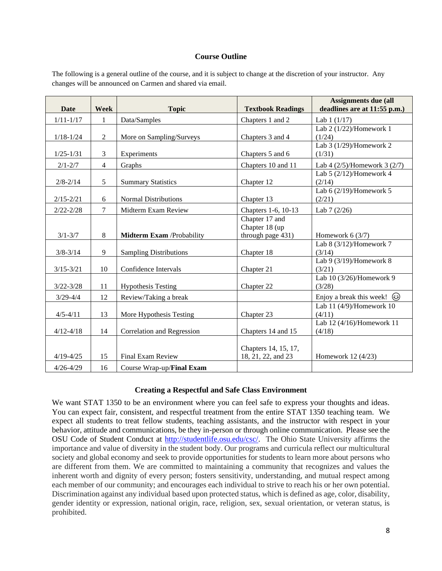#### **Course Outline**

The following is a general outline of the course, and it is subject to change at the discretion of your instructor. Any changes will be announced on Carmen and shared via email.

| Date          | <b>Week</b>    | <b>Topic</b>                      | <b>Textbook Readings</b> | <b>Assignments due (all</b><br>deadlines are at 11:55 p.m.) |
|---------------|----------------|-----------------------------------|--------------------------|-------------------------------------------------------------|
|               |                |                                   |                          |                                                             |
| $1/11 - 1/17$ | 1              | Data/Samples                      | Chapters 1 and 2         | Lab $1(1/17)$                                               |
|               |                |                                   |                          | Lab 2 (1/22)/Homework 1                                     |
| $1/18 - 1/24$ | $\overline{2}$ | More on Sampling/Surveys          | Chapters 3 and 4         | (1/24)                                                      |
|               |                |                                   |                          | Lab $3(1/29)$ /Homework 2                                   |
| $1/25 - 1/31$ | 3              | Experiments                       | Chapters 5 and 6         | (1/31)                                                      |
| $2/1 - 2/7$   | $\overline{4}$ | Graphs                            | Chapters 10 and 11       | Lab 4 $(2/5)$ /Homework 3 $(2/7)$                           |
|               |                |                                   |                          | Lab $5(2/12)$ /Homework 4                                   |
| $2/8 - 2/14$  | 5              | <b>Summary Statistics</b>         | Chapter 12               | (2/14)                                                      |
|               |                |                                   |                          | Lab $6(2/19)$ /Homework 5                                   |
| $2/15 - 2/21$ | 6              | <b>Normal Distributions</b>       | Chapter 13               | (2/21)                                                      |
| $2/22 - 2/28$ | $\overline{7}$ | Midterm Exam Review               | Chapters 1-6, 10-13      | Lab $7(2/26)$                                               |
|               |                |                                   | Chapter 17 and           |                                                             |
|               |                |                                   | Chapter 18 (up           |                                                             |
| $3/1 - 3/7$   | 8              | <b>Midterm Exam /Probability</b>  | through page 431)        | Homework $6(3/7)$                                           |
|               |                |                                   |                          | Lab 8 (3/12)/Homework 7                                     |
| $3/8 - 3/14$  | 9              | <b>Sampling Distributions</b>     | Chapter 18               | (3/14)                                                      |
|               |                |                                   |                          | Lab 9 (3/19)/Homework 8                                     |
| $3/15 - 3/21$ | 10             | Confidence Intervals              | Chapter 21               | (3/21)                                                      |
|               |                |                                   |                          | Lab 10 (3/26)/Homework 9                                    |
| $3/22 - 3/28$ | 11             | <b>Hypothesis Testing</b>         | Chapter 22               | (3/28)                                                      |
| $3/29 - 4/4$  | 12             | Review/Taking a break             |                          | Enjoy a break this week! $\circled{e}$                      |
|               |                |                                   |                          | Lab 11 (4/9)/Homework 10                                    |
| $4/5 - 4/11$  | 13             | More Hypothesis Testing           | Chapter 23               | (4/11)                                                      |
|               |                |                                   |                          | Lab 12 (4/16)/Homework 11                                   |
| $4/12 - 4/18$ | 14             | Correlation and Regression        | Chapters 14 and 15       | (4/18)                                                      |
|               |                |                                   |                          |                                                             |
|               |                |                                   | Chapters 14, 15, 17,     |                                                             |
| $4/19 - 4/25$ | 15             | Final Exam Review                 | 18, 21, 22, and 23       | Homework 12 (4/23)                                          |
| $4/26 - 4/29$ | 16             | Course Wrap-up/ <b>Final Exam</b> |                          |                                                             |

# **Creating a Respectful and Safe Class Environment**

We want STAT 1350 to be an environment where you can feel safe to express your thoughts and ideas. You can expect fair, consistent, and respectful treatment from the entire STAT 1350 teaching team. We expect all students to treat fellow students, teaching assistants, and the instructor with respect in your behavior, attitude and communications, be they in-person or through online communication. Please see the OSU Code of Student Conduct at [http://studentlife.osu.edu/csc/.](http://studentlife.osu.edu/csc/) The Ohio State University affirms the importance and value of diversity in the student body. Our programs and curricula reflect our multicultural society and global economy and seek to provide opportunities for students to learn more about persons who are different from them. We are committed to maintaining a community that recognizes and values the inherent worth and dignity of every person; fosters sensitivity, understanding, and mutual respect among each member of our community; and encourages each individual to strive to reach his or her own potential. Discrimination against any individual based upon protected status, which is defined as age, color, disability, gender identity or expression, national origin, race, religion, sex, sexual orientation, or veteran status, is prohibited.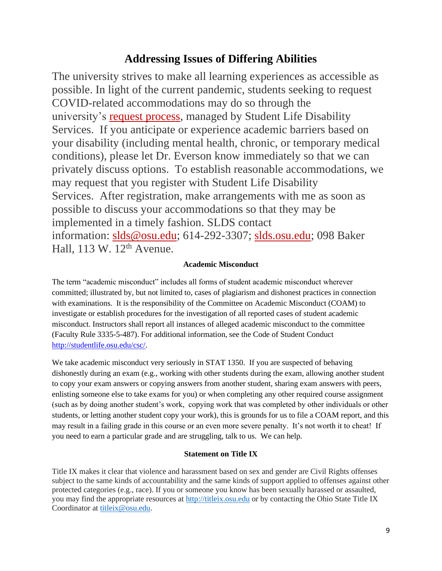# **Addressing Issues of Differing Abilities**

The university strives to make all learning experiences as accessible as possible. In light of the current pandemic, students seeking to request COVID-related accommodations may do so through the university's [request process,](https://slds.osu.edu/covid-19-info/covid-related-accommodation-requests/) managed by Student Life Disability Services. If you anticipate or experience academic barriers based on your disability (including mental health, chronic, or temporary medical conditions), please let Dr. Everson know immediately so that we can privately discuss options. To establish reasonable accommodations, we may request that you register with Student Life Disability Services. After registration, make arrangements with me as soon as possible to discuss your accommodations so that they may be implemented in a timely fashion. SLDS contact information: [slds@osu.edu;](mailto:slds@osu.edu) 614-292-3307; [slds.osu.edu;](https://slds.osu.edu/) 098 Baker Hall,  $113$  W.  $12<sup>th</sup>$  Avenue.

# **Academic Misconduct**

The term "academic misconduct" includes all forms of student academic misconduct wherever committed; illustrated by, but not limited to, cases of plagiarism and dishonest practices in connection with examinations. It is the responsibility of the Committee on Academic Misconduct (COAM) to investigate or establish procedures for the investigation of all reported cases of student academic misconduct. Instructors shall report all instances of alleged academic misconduct to the committee (Faculty Rule 3335-5-487). For additional information, see the Code of Student Conduct [http://studentlife.osu.edu/csc/.](http://studentlife.osu.edu/csc/)

We take academic misconduct very seriously in STAT 1350. If you are suspected of behaving dishonestly during an exam (e.g., working with other students during the exam, allowing another student to copy your exam answers or copying answers from another student, sharing exam answers with peers, enlisting someone else to take exams for you) or when completing any other required course assignment (such as by doing another student's work, copying work that was completed by other individuals or other students, or letting another student copy your work), this is grounds for us to file a COAM report, and this may result in a failing grade in this course or an even more severe penalty. It's not worth it to cheat! If you need to earn a particular grade and are struggling, talk to us. We can help.

# **Statement on Title IX**

Title IX makes it clear that violence and harassment based on sex and gender are Civil Rights offenses subject to the same kinds of accountability and the same kinds of support applied to offenses against other protected categories (e.g., race). If you or someone you know has been sexually harassed or assaulted, you may find the appropriate resources at [http://titleix.osu.edu](http://titleix.osu.edu/) or by contacting the Ohio State Title IX Coordinator at [titleix@osu.edu.](mailto:titleix@osu.edu)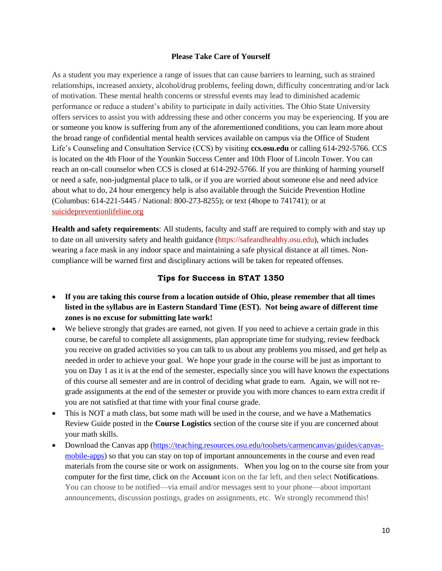#### **Please Take Care of Yourself**

As a student you may experience a range of issues that can cause barriers to learning, such as strained relationships, increased anxiety, alcohol/drug problems, feeling down, difficulty concentrating and/or lack of motivation. These mental health concerns or stressful events may lead to diminished academic performance or reduce a student's ability to participate in daily activities. The Ohio State University offers services to assist you with addressing these and other concerns you may be experiencing. If you are or someone you know is suffering from any of the aforementioned conditions, you can learn more about the broad range of confidential mental health services available on campus via the Office of Student Life's Counseling and Consultation Service (CCS) by visiting **ccs.osu.edu** or calling 614-292-5766. CCS is located on the 4th Floor of the Younkin Success Center and 10th Floor of Lincoln Tower. You can reach an on-call counselor when CCS is closed at 614-292-5766. If you are thinking of harming yourself or need a safe, non-judgmental place to talk, or if you are worried about someone else and need advice about what to do, 24 hour emergency help is also available through the Suicide Prevention Hotline (Columbus: 614-221-5445 / National: 800-273-8255); or text (4hope to 741741); or at [suicidepreventionlifeline.org](http://suicidepreventionlifeline.org/)

**Health and safety requirements**: All students, faculty and staff are required to comply with and stay up to date on all university safety and health guidance [\(https://safeandhealthy.osu.edu\)](https://safeandhealthy.osu.edu/), which includes wearing a face mask in any indoor space and maintaining a safe physical distance at all times. Noncompliance will be warned first and disciplinary actions will be taken for repeated offenses.

# **Tips for Success in STAT 1350**

- **If you are taking this course from a location outside of Ohio, please remember that all times listed in the syllabus are in Eastern Standard Time (EST). Not being aware of different time zones is no excuse for submitting late work!**
- We believe strongly that grades are earned, not given. If you need to achieve a certain grade in this course, be careful to complete all assignments, plan appropriate time for studying, review feedback you receive on graded activities so you can talk to us about any problems you missed, and get help as needed in order to achieve your goal. We hope your grade in the course will be just as important to you on Day 1 as it is at the end of the semester, especially since you will have known the expectations of this course all semester and are in control of deciding what grade to earn. Again, we will not regrade assignments at the end of the semester or provide you with more chances to earn extra credit if you are not satisfied at that time with your final course grade.
- This is NOT a math class, but some math will be used in the course, and we have a Mathematics Review Guide posted in the **Course Logistics** section of the course site if you are concerned about your math skills.
- Download the Canvas app [\(https://teaching.resources.osu.edu/toolsets/carmencanvas/guides/canvas](https://teaching.resources.osu.edu/toolsets/carmencanvas/guides/canvas-mobile-apps)[mobile-apps\)](https://teaching.resources.osu.edu/toolsets/carmencanvas/guides/canvas-mobile-apps) so that you can stay on top of important announcements in the course and even read materials from the course site or work on assignments. When you log on to the course site from your computer for the first time, click on the **Account** icon on the far left, and then select **Notifications**. You can choose to be notified—via email and/or messages sent to your phone—about important announcements, discussion postings, grades on assignments, etc. We strongly recommend this!